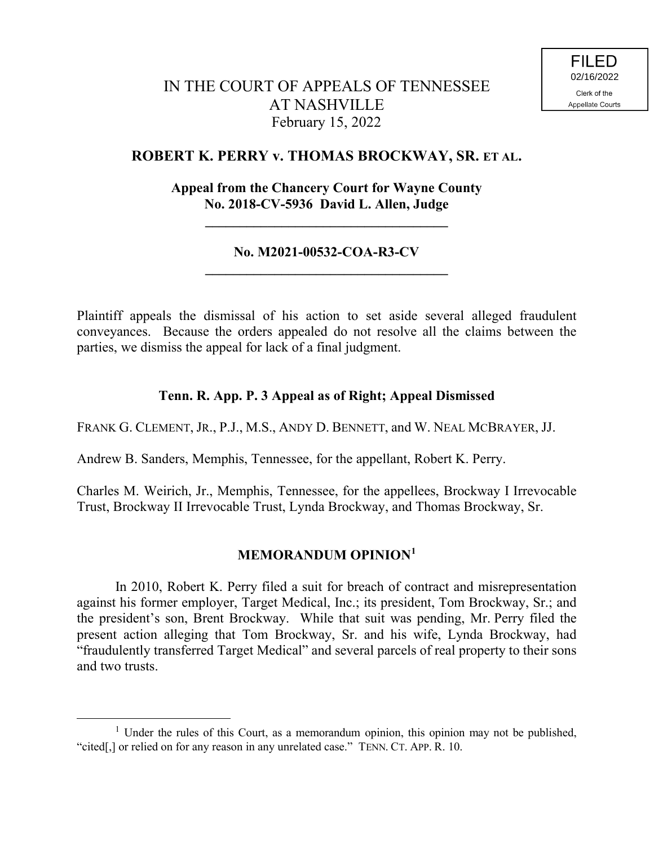# IN THE COURT OF APPEALS OF TENNESSEE AT NASHVILLE February 15, 2022

# **ROBERT K. PERRY v. THOMAS BROCKWAY, SR. ET AL.**

# **Appeal from the Chancery Court for Wayne County No. 2018-CV-5936 David L. Allen, Judge**

**\_\_\_\_\_\_\_\_\_\_\_\_\_\_\_\_\_\_\_\_\_\_\_\_\_\_\_\_\_\_\_\_\_\_\_**

### **No. M2021-00532-COA-R3-CV \_\_\_\_\_\_\_\_\_\_\_\_\_\_\_\_\_\_\_\_\_\_\_\_\_\_\_\_\_\_\_\_\_\_\_**

Plaintiff appeals the dismissal of his action to set aside several alleged fraudulent conveyances. Because the orders appealed do not resolve all the claims between the parties, we dismiss the appeal for lack of a final judgment.

#### **Tenn. R. App. P. 3 Appeal as of Right; Appeal Dismissed**

FRANK G. CLEMENT, JR., P.J., M.S., ANDY D. BENNETT, and W. NEAL MCBRAYER, JJ.

Andrew B. Sanders, Memphis, Tennessee, for the appellant, Robert K. Perry.

Charles M. Weirich, Jr., Memphis, Tennessee, for the appellees, Brockway I Irrevocable Trust, Brockway II Irrevocable Trust, Lynda Brockway, and Thomas Brockway, Sr.

## **MEMORANDUM OPINION<sup>1</sup>**

In 2010, Robert K. Perry filed a suit for breach of contract and misrepresentation against his former employer, Target Medical, Inc.; its president, Tom Brockway, Sr.; and the president's son, Brent Brockway. While that suit was pending, Mr. Perry filed the present action alleging that Tom Brockway, Sr. and his wife, Lynda Brockway, had "fraudulently transferred Target Medical" and several parcels of real property to their sons and two trusts.

 $\overline{a}$ 

 $1$  Under the rules of this Court, as a memorandum opinion, this opinion may not be published, "cited[,] or relied on for any reason in any unrelated case." TENN. CT. APP. R. 10.